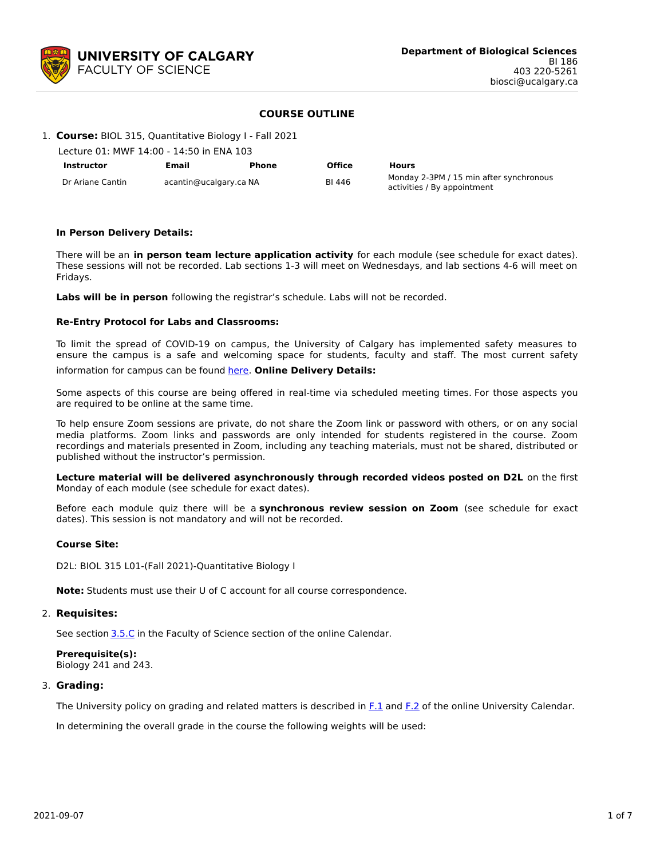

# **COURSE OUTLINE**

| 1. Course: BIOL 315, Quantitative Biology I - Fall 2021 |  |  |
|---------------------------------------------------------|--|--|
|                                                         |  |  |

| Lecture 01: MWF 14:00 - 14:50 in ENA 103 |                        |       |        |                                                                        |
|------------------------------------------|------------------------|-------|--------|------------------------------------------------------------------------|
| <b>Instructor</b>                        | Email                  | Phone | Office | <b>Hours</b>                                                           |
| Dr Ariane Cantin                         | acantin@ucalgary.ca NA |       | BI 446 | Monday 2-3PM / 15 min after synchronous<br>activities / By appointment |

## **In Person Delivery Details:**

There will be an **in person team lecture application activity** for each module (see schedule for exact dates). These sessions will not be recorded. Lab sections 1-3 will meet on Wednesdays, and lab sections 4-6 will meet on Fridays.

**Labs will be in person** following the registrar's schedule. Labs will not be recorded.

#### **Re-Entry Protocol for Labs and Classrooms:**

To limit the spread of COVID-19 on campus, the University of Calgary has implemented safety measures to ensure the campus is a safe and welcoming space for students, faculty and staff. The most current safety

information for campus can be found [here](https://www.ucalgary.ca/risk/emergency-management/covid-19-response/return-campus-safety). **Online Delivery Details:**

Some aspects of this course are being offered in real-time via scheduled meeting times. For those aspects you are required to be online at the same time.

To help ensure Zoom sessions are private, do not share the Zoom link or password with others, or on any social media platforms. Zoom links and passwords are only intended for students registered in the course. Zoom recordings and materials presented in Zoom, including any teaching materials, must not be shared, distributed or published without the instructor's permission.

**Lecture material will be delivered asynchronously through recorded videos posted on D2L** on the first Monday of each module (see schedule for exact dates).

Before each module quiz there will be a **synchronous review session on Zoom** (see schedule for exact dates). This session is not mandatory and will not be recorded.

#### **Course Site:**

D2L: BIOL 315 L01-(Fall 2021)-Quantitative Biology I

**Note:** Students must use their U of C account for all course correspondence.

#### 2. **Requisites:**

See section [3.5.C](http://www.ucalgary.ca/pubs/calendar/current/sc-3-5.html) in the Faculty of Science section of the online Calendar.

**Prerequisite(s):** Biology 241 and 243.

#### 3. **Grading:**

The University policy on grading and related matters is described in [F.1](http://www.ucalgary.ca/pubs/calendar/current/f-1.html) and [F.2](http://www.ucalgary.ca/pubs/calendar/current/f-2.html) of the online University Calendar.

In determining the overall grade in the course the following weights will be used: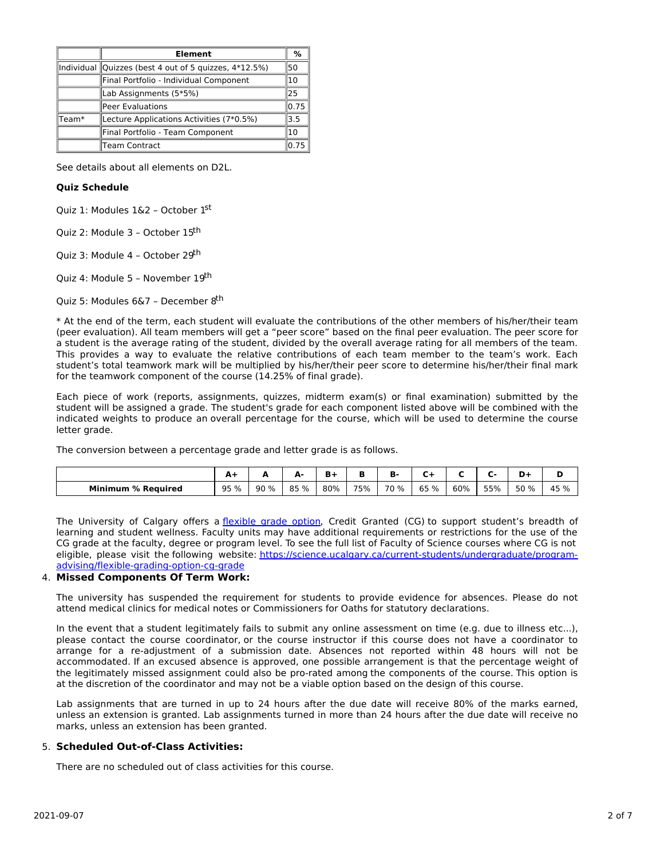|         | <b>Element</b>                                              | %     |  |  |  |  |  |
|---------|-------------------------------------------------------------|-------|--|--|--|--|--|
|         | Individual Quizzes (best 4 out of 5 quizzes, 4*12.5%)<br>50 |       |  |  |  |  |  |
|         | Final Portfolio - Individual Component<br>10                |       |  |  |  |  |  |
|         | Lab Assignments (5*5%)<br>25                                |       |  |  |  |  |  |
|         | Peer Evaluations                                            | 10.75 |  |  |  |  |  |
| ' Team* | Lecture Applications Activities (7*0.5%)                    | 3.5   |  |  |  |  |  |
|         | Final Portfolio - Team Component                            | 10    |  |  |  |  |  |
|         | Team Contract                                               | 0.75  |  |  |  |  |  |

See details about all elements on D2L.

# **Quiz Schedule**

Quiz 1: Modules 1&2 - October 1st

Quiz 2: Module 3 - October 15<sup>th</sup>

Quiz 3: Module 4 - October 29<sup>th</sup>

Quiz 4: Module 5 - November 19<sup>th</sup>

Quiz 5: Modules 6&7 – December 8<sup>th</sup>

\* At the end of the term, each student will evaluate the contributions of the other members of his/her/their team (peer evaluation). All team members will get a "peer score" based on the final peer evaluation. The peer score for a student is the average rating of the student, divided by the overall average rating for all members of the team. This provides a way to evaluate the relative contributions of each team member to the team's work. Each student's total teamwork mark will be multiplied by his/her/their peer score to determine his/her/their final mark for the teamwork component of the course (14.25% of final grade).

Each piece of work (reports, assignments, quizzes, midterm exam(s) or final examination) submitted by the student will be assigned a grade. The student's grade for each component listed above will be combined with the indicated weights to produce an overall percentage for the course, which will be used to determine the course letter grade.

The conversion between a percentage grade and letter grade is as follows.

|                           | A-   | ~   | д.<br>r. |     |     | ъ.        |         |     |     | D+   | м    |
|---------------------------|------|-----|----------|-----|-----|-----------|---------|-----|-----|------|------|
| <b>Minimum % Required</b> | 95 % | 90% | 85 %     | 80% | 75% | 70<br>് % | 65<br>% | 60% | 55% | 50 % | 45 % |

The University of Calgary offers a [flexible](https://www.ucalgary.ca/pubs/calendar/current/f-1-3.html) grade option, Credit Granted (CG) to support student's breadth of learning and student wellness. Faculty units may have additional requirements or restrictions for the use of the CG grade at the faculty, degree or program level. To see the full list of Faculty of Science courses where CG is not eligible, please visit the following website: [https://science.ucalgary.ca/current-students/undergraduate/program](https://science.ucalgary.ca/current-students/undergraduate/program-advising/flexible-grading-option-cg-grade)advising/flexible-grading-option-cg-grade

# 4. **Missed Components Of Term Work:**

The university has suspended the requirement for students to provide evidence for absences. Please do not attend medical clinics for medical notes or Commissioners for Oaths for statutory declarations.

In the event that a student legitimately fails to submit any online assessment on time (e.g. due to illness etc...), please contact the course coordinator, or the course instructor if this course does not have a coordinator to arrange for a re-adjustment of a submission date. Absences not reported within 48 hours will not be accommodated. If an excused absence is approved, one possible arrangement is that the percentage weight of the legitimately missed assignment could also be pro-rated among the components of the course. This option is at the discretion of the coordinator and may not be a viable option based on the design of this course.

Lab assignments that are turned in up to 24 hours after the due date will receive 80% of the marks earned, unless an extension is granted. Lab assignments turned in more than 24 hours after the due date will receive no marks, unless an extension has been granted.

#### 5. **Scheduled Out-of-Class Activities:**

There are no scheduled out of class activities for this course.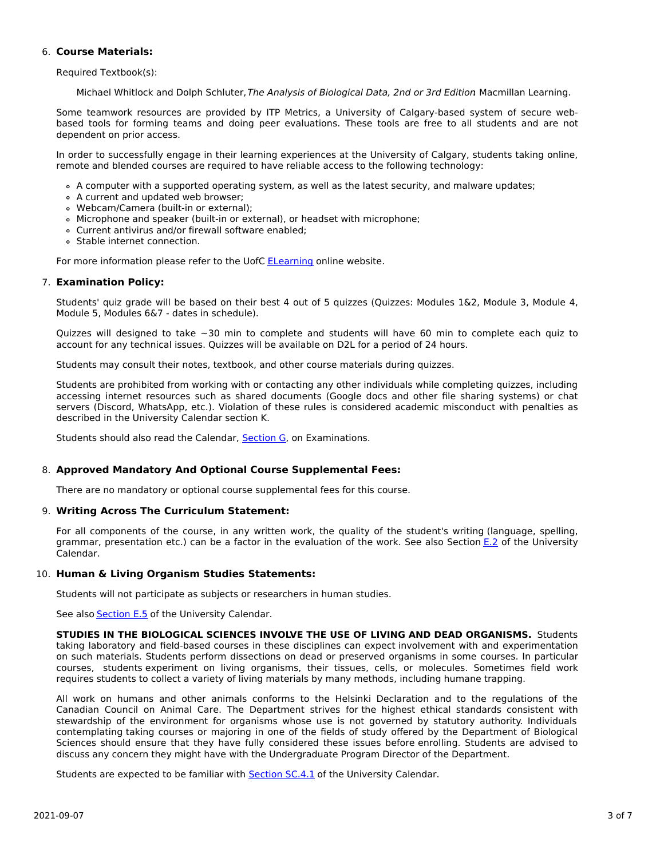# 6. **Course Materials:**

Required Textbook(s):

Michael Whitlock and Dolph Schluter, The Analysis of Biological Data, 2nd or 3rd Edition Macmillan Learning.

Some teamwork resources are provided by ITP Metrics, a University of Calgary-based system of secure webbased tools for forming teams and doing peer evaluations. These tools are free to all students and are not dependent on prior access.

In order to successfully engage in their learning experiences at the University of Calgary, students taking online, remote and blended courses are required to have reliable access to the following technology:

- A computer with a supported operating system, as well as the latest security, and malware updates;
- A current and updated web browser;
- Webcam/Camera (built-in or external);
- Microphone and speaker (built-in or external), or headset with microphone;
- Current antivirus and/or firewall software enabled;
- Stable internet connection.

For more information please refer to the UofC [ELearning](https://elearn.ucalgary.ca/technology-requirements-for-students) online website.

## 7. **Examination Policy:**

Students' quiz grade will be based on their best 4 out of 5 quizzes (Quizzes: Modules 1&2, Module 3, Module 4, Module 5, Modules 6&7 - dates in schedule).

Quizzes will designed to take  $\sim$ 30 min to complete and students will have 60 min to complete each quiz to account for any technical issues. Quizzes will be available on D2L for a period of 24 hours.

Students may consult their notes, textbook, and other course materials during quizzes.

Students are prohibited from working with or contacting any other individuals while completing quizzes, including accessing internet resources such as shared documents (Google docs and other file sharing systems) or chat servers (Discord, WhatsApp, etc.). Violation of these rules is considered academic misconduct with penalties as described in the University Calendar section K.

Students should also read the Calendar, [Section](http://www.ucalgary.ca/pubs/calendar/current/g.html) G, on Examinations.

# 8. **Approved Mandatory And Optional Course Supplemental Fees:**

There are no mandatory or optional course supplemental fees for this course.

# 9. **Writing Across The Curriculum Statement:**

For all components of the course, in any written work, the quality of the student's writing (language, spelling, grammar, presentation etc.) can be a factor in the evaluation of the work. See also Section [E.2](http://www.ucalgary.ca/pubs/calendar/current/e-2.html) of the University Calendar.

# 10. **Human & Living Organism Studies Statements:**

Students will not participate as subjects or researchers in human studies.

See also **[Section](http://www.ucalgary.ca/pubs/calendar/current/e-5.html) E.5** of the University Calendar.

**STUDIES IN THE BIOLOGICAL SCIENCES INVOLVE THE USE OF LIVING AND DEAD ORGANISMS.** Students taking laboratory and field-based courses in these disciplines can expect involvement with and experimentation on such materials. Students perform dissections on dead or preserved organisms in some courses. In particular courses, students experiment on living organisms, their tissues, cells, or molecules. Sometimes field work requires students to collect a variety of living materials by many methods, including humane trapping.

All work on humans and other animals conforms to the Helsinki Declaration and to the regulations of the Canadian Council on Animal Care. The Department strives for the highest ethical standards consistent with stewardship of the environment for organisms whose use is not governed by statutory authority. Individuals contemplating taking courses or majoring in one of the fields of study offered by the Department of Biological Sciences should ensure that they have fully considered these issues before enrolling. Students are advised to discuss any concern they might have with the Undergraduate Program Director of the Department.

Students are expected to be familiar with **[Section](http://www.ucalgary.ca/pubs/calendar/current/sc-4-1.html) SC.4.1** of the University Calendar.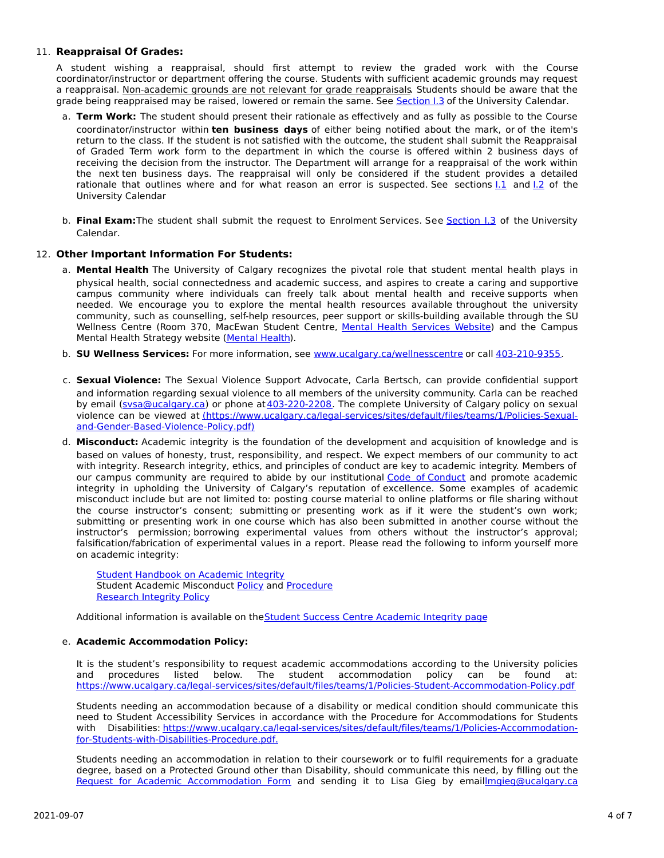# 11. **Reappraisal Of Grades:**

A student wishing a reappraisal, should first attempt to review the graded work with the Course coordinator/instructor or department offering the course. Students with sufficient academic grounds may request a reappraisal. Non-academic grounds are not relevant for grade reappraisals. Students should be aware that the grade being reappraised may be raised, lowered or remain the same. See [Section](http://www.ucalgary.ca/pubs/calendar/current/i-3.html) I.3 of the University Calendar.

- a. **Term Work:** The student should present their rationale as effectively and as fully as possible to the Course coordinator/instructor within **ten business days** of either being notified about the mark, or of the item's return to the class. If the student is not satisfied with the outcome, the student shall submit the Reappraisal of Graded Term work form to the department in which the course is offered within 2 business days of receiving the decision from the instructor. The Department will arrange for a reappraisal of the work within the next ten business days. The reappraisal will only be considered if the student provides a detailed rationale that outlines where and for what reason an error is suspected. See sections  $1.1$  and  $1.2$  of the University Calendar
- b. **Final Exam:**The student shall submit the request to Enrolment Services. See [Section](http://www.ucalgary.ca/pubs/calendar/current/i-3.html) I.3 of the University Calendar.

## 12. **Other Important Information For Students:**

- a. **Mental Health** The University of Calgary recognizes the pivotal role that student mental health plays in physical health, social connectedness and academic success, and aspires to create a caring and supportive campus community where individuals can freely talk about mental health and receive supports when needed. We encourage you to explore the mental health resources available throughout the university community, such as counselling, self-help resources, peer support or skills-building available through the SU Wellness Centre (Room 370, MacEwan Student Centre, Mental Health [Services](https://www.ucalgary.ca/wellnesscentre/services/mental-health-services) Website) and the Campus Mental Health Strategy website [\(Mental](http://www.ucalgary.ca/mentalhealth) Health).
- b. **SU Wellness Services:** For more information, see [www.ucalgary.ca/wellnesscentre](http://www.ucalgary.ca/wellnesscentre) or call [403-210-9355.](tel:4032109355)
- c. **Sexual Violence:** The Sexual Violence Support Advocate, Carla Bertsch, can provide confidential support and information regarding sexual violence to all members of the university community. Carla can be reached by email [\(svsa@ucalgary.ca](mailto:svsa@ucalgary.ca)) or phone at [403-220-2208](tel:4032202208). The complete University of Calgary policy on sexual violence can be viewed at [\(https://www.ucalgary.ca/legal-services/sites/default/files/teams/1/Policies-Sexual](https://www.ucalgary.ca/legal-services/sites/default/files/teams/1/Policies-Sexual-and-Gender-Based-Violence-Policy.pdf)and-Gender-Based-Violence-Policy.pdf)
- d. **Misconduct:** Academic integrity is the foundation of the development and acquisition of knowledge and is based on values of honesty, trust, responsibility, and respect. We expect members of our community to act with integrity. Research integrity, ethics, and principles of conduct are key to academic integrity. Members of our campus community are required to abide by our institutional Code of [Conduct](https://www.ucalgary.ca/legal-services/sites/default/files/teams/1/Policies-Code-of-Conduct.pdf) and promote academic integrity in upholding the University of Calgary's reputation of excellence. Some examples of academic misconduct include but are not limited to: posting course material to online platforms or file sharing without the course instructor's consent; submitting or presenting work as if it were the student's own work; submitting or presenting work in one course which has also been submitted in another course without the instructor's permission; borrowing experimental values from others without the instructor's approval; falsification/fabrication of experimental values in a report. Please read the following to inform yourself more on academic integrity:

Student [Handbook](https://www.ucalgary.ca/live-uc-ucalgary-site/sites/default/files/teams/9/AI-Student-handbook-1.pdf) on Academic Integrity Student Academic Misconduct [Policy](https://www.ucalgary.ca/legal-services/sites/default/files/teams/1/Policies-Student-Academic-Misconduct-Policy.pdf) and [Procedure](https://www.ucalgary.ca/legal-services/sites/default/files/teams/1/Policies-Student-Academic-Misconduct-Procedure.pdf) [Research](https://www.ucalgary.ca/legal-services/sites/default/files/teams/1/Policies-Research-Integrity-Policy.pdf) Integrity Policy

Additional information is available on theStudent Success Centre [Academic](https://ucalgary.ca/student-services/student-success/learning/academic-integrity) Integrity page

# e. **Academic Accommodation Policy:**

It is the student's responsibility to request academic accommodations according to the University policies and procedures listed below. The student accommodation policy can be found at: <https://www.ucalgary.ca/legal-services/sites/default/files/teams/1/Policies-Student-Accommodation-Policy.pdf>

Students needing an accommodation because of a disability or medical condition should communicate this need to Student Accessibility Services in accordance with the Procedure for Accommodations for Students with Disabilities: [https://www.ucalgary.ca/legal-services/sites/default/files/teams/1/Policies-Accommodation](https://www.ucalgary.ca/legal-services/sites/default/files/teams/1/Policies-Accommodation-for-Students-with-Disabilities-Procedure.pdf)for-Students-with-Disabilities-Procedure.pdf.

Students needing an accommodation in relation to their coursework or to fulfil requirements for a graduate degree, based on a Protected Ground other than Disability, should communicate this need, by filling out the Request for Academic [Accommodation](https://science.ucalgary.ca/sites/default/files/teams/1/request-accommodation-academic-courses.pdf) Form and sending it to Lisa Gieg by emai[llmgieg@ucalgary.ca](mailto:lmgieg@ucalgary.ca)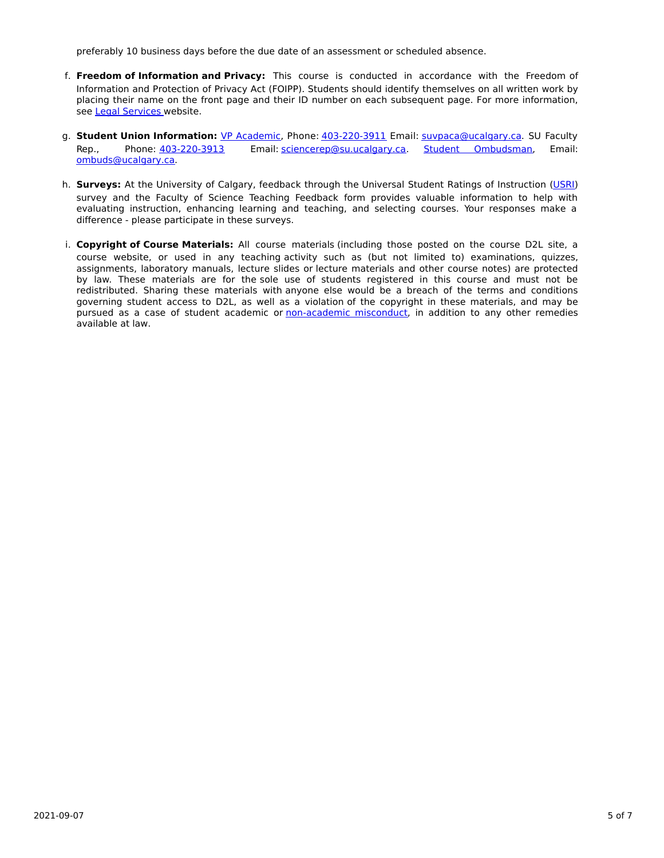preferably 10 business days before the due date of an assessment or scheduled absence.

- f. **Freedom of Information and Privacy:** This course is conducted in accordance with the Freedom of Information and Protection of Privacy Act (FOIPP). Students should identify themselves on all written work by placing their name on the front page and their ID number on each subsequent page. For more information, see Legal [Services](https://www.ucalgary.ca/legal-services/access-information-privacy) website.
- g. **Student Union Information:** VP [Academic](http://www.su.ucalgary.ca/contact), Phone: [403-220-3911](tel:4032203911) Email: [suvpaca@ucalgary.ca](mailto:suvpaca@ucalgary.ca). SU Faculty Rep., Phone: [403-220-3913](tel:4032203913) Email: [sciencerep@su.ucalgary.ca](mailto:sciencerep@su.ucalgary.ca). Student [Ombudsman](https://www.ucalgary.ca/ombuds/), Email: [ombuds@ucalgary.ca](mailto:%20ombuds@ucalgary.ca).
- h. **Surveys:** At the University of Calgary, feedback through the Universal Student Ratings of Instruction [\(USRI](http://www.ucalgary.ca/usri)) survey and the Faculty of Science Teaching Feedback form provides valuable information to help with evaluating instruction, enhancing learning and teaching, and selecting courses. Your responses make a difference - please participate in these surveys.
- i. **Copyright of Course Materials:** All course materials (including those posted on the course D2L site, a course website, or used in any teaching activity such as (but not limited to) examinations, quizzes, assignments, laboratory manuals, lecture slides or lecture materials and other course notes) are protected by law. These materials are for the sole use of students registered in this course and must not be redistributed. Sharing these materials with anyone else would be a breach of the terms and conditions governing student access to D2L, as well as a violation of the copyright in these materials, and may be pursued as a case of student academic or [non-academic](https://www.ucalgary.ca/conduct/policy/non-academic-misconduct-policy) misconduct, in addition to any other remedies available at law.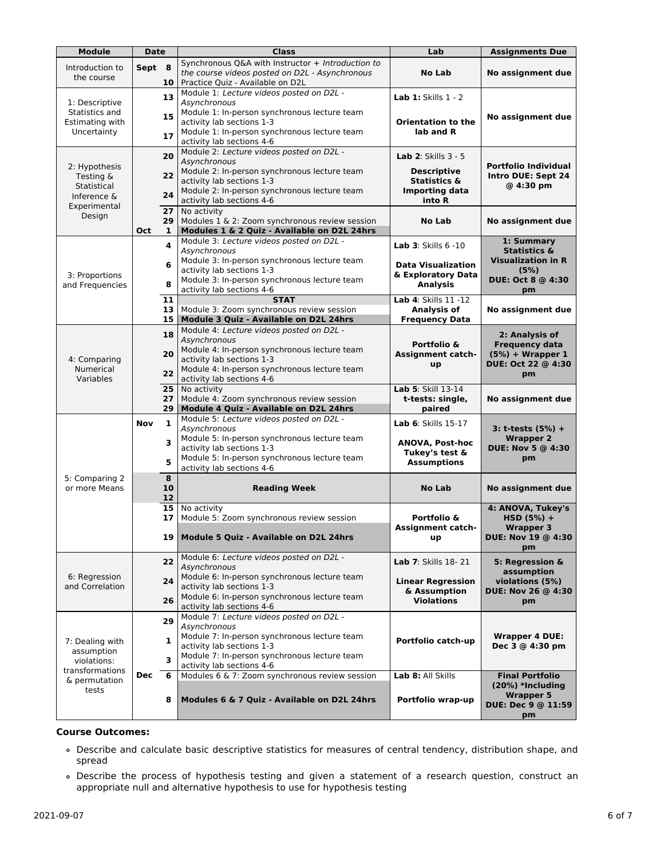| <b>Module</b>                                    | <b>Date</b> |                | <b>Class</b>                                                                                                                              | Lab                                                                | <b>Assignments Due</b>                                                                    |  |
|--------------------------------------------------|-------------|----------------|-------------------------------------------------------------------------------------------------------------------------------------------|--------------------------------------------------------------------|-------------------------------------------------------------------------------------------|--|
| Introduction to<br>the course                    | Sept 8      |                | Synchronous Q&A with Instructor + Introduction to<br>the course videos posted on D2L - Asynchronous                                       | <b>No Lab</b><br>No assignment due                                 |                                                                                           |  |
| 1: Descriptive                                   |             | 10<br>13       | Practice Quiz - Available on D2L<br>Module 1: Lecture videos posted on D2L -<br>Asynchronous                                              | <b>Lab 1: Skills 1 - 2</b>                                         |                                                                                           |  |
| Statistics and<br>Estimating with<br>Uncertainty |             | 15<br>17       | Module 1: In-person synchronous lecture team<br>activity lab sections 1-3<br>Module 1: In-person synchronous lecture team                 | <b>Orientation to the</b><br>lab and R                             | No assignment due                                                                         |  |
| 2: Hypothesis                                    |             | 20             | activity lab sections 4-6<br>Module 2: Lecture videos posted on D2L -<br><b>Asynchronous</b>                                              | <b>Lab 2:</b> Skills $3 - 5$                                       | <b>Portfolio Individual</b>                                                               |  |
| Testing &<br>Statistical                         |             | 22<br>24       | Module 2: In-person synchronous lecture team<br>activity lab sections 1-3<br>Module 2: In-person synchronous lecture team                 | Descriptive<br>Statistics &<br><b>Importing data</b>               | Intro DUE: Sept 24<br>@ 4:30 pm                                                           |  |
| Inference &<br>Experimental<br>Design            |             | 27<br>29       | activity lab sections 4-6<br>No activity<br>Modules 1 & 2: Zoom synchronous review session                                                | into R<br><b>No Lab</b>                                            | No assignment due                                                                         |  |
|                                                  | Oct         | 1              | Modules 1 & 2 Quiz - Available on D2L 24hrs                                                                                               |                                                                    |                                                                                           |  |
|                                                  |             | 4              | Module 3: Lecture videos posted on D2L -<br>Asynchronous<br>Module 3: In-person synchronous lecture team                                  | <b>Lab 3: Skills 6 -10</b>                                         | 1: Summary<br><b>Statistics &amp;</b><br><b>Visualization in R</b>                        |  |
| 3: Proportions<br>and Frequencies                |             | 6<br>8         | activity lab sections 1-3<br>Module 3: In-person synchronous lecture team                                                                 | <b>Data Visualization</b><br>& Exploratory Data<br><b>Analysis</b> | (5%)<br>DUE: Oct 8 @ 4:30                                                                 |  |
|                                                  |             | 11<br>13       | activity lab sections 4-6<br><b>STAT</b><br>Module 3: Zoom synchronous review session                                                     | Lab 4: Skills 11 -12<br><b>Analysis of</b>                         | pm<br>No assignment due                                                                   |  |
|                                                  |             | 15             | Module 3 Quiz - Available on D2L 24hrs                                                                                                    | <b>Frequency Data</b>                                              |                                                                                           |  |
|                                                  |             | 18             | Module 4: Lecture videos posted on D2L -<br>Asynchronous<br>Module 4: In-person synchronous lecture team                                  | Portfolio &                                                        | 2: Analysis of<br><b>Frequency data</b><br>$(5%) + Wrapper 1$<br>DUE: Oct 22 @ 4:30<br>pm |  |
| 4: Comparing<br>Numerical                        |             | 20<br>22       | activity lab sections 1-3<br>Module 4: In-person synchronous lecture team                                                                 | <b>Assignment catch-</b><br>up                                     |                                                                                           |  |
| Variables                                        |             |                | activity lab sections 4-6                                                                                                                 |                                                                    |                                                                                           |  |
|                                                  |             | 25<br>27<br>29 | No activity<br>Module 4: Zoom synchronous review session<br>Module 4 Quiz - Available on D2L 24hrs                                        | Lab 5: Skill 13-14<br>t-tests: single,<br>paired                   | No assignment due                                                                         |  |
|                                                  | Nov         | $\mathbf{1}$   | Module 5: Lecture videos posted on D2L -<br>Asynchronous                                                                                  | Lab 6: Skills 15-17                                                | 3: t-tests (5%) +                                                                         |  |
|                                                  |             | 3              | Module 5: In-person synchronous lecture team<br>activity lab sections 1-3<br>Module 5: In-person synchronous lecture team                 | <b>ANOVA, Post-hoc</b><br>Tukey's test &                           | <b>Wrapper 2</b><br>DUE: Nov 5 @ 4:30<br>pm                                               |  |
| 5: Comparing 2                                   |             | 5<br>8         | activity lab sections 4-6                                                                                                                 | <b>Assumptions</b>                                                 |                                                                                           |  |
| or more Means                                    |             | 10<br>12       | <b>Reading Week</b>                                                                                                                       | <b>No Lab</b>                                                      | No assignment due                                                                         |  |
|                                                  |             | 15<br>17       | No activity<br>Module 5: Zoom synchronous review session                                                                                  | Portfolio &<br><b>Assignment catch-</b>                            | 4: ANOVA, Tukey's<br>$HSD (5%) +$<br><b>Wrapper 3</b>                                     |  |
|                                                  |             | 19 l           | Module 5 Quiz - Available on D2L 24hrs                                                                                                    | up                                                                 | DUE: Nov 19 @ 4:30<br>pm                                                                  |  |
| 6: Regression                                    |             | 22             | Module 6: Lecture videos posted on D2L -<br>Asynchronous<br>Module 6: In-person synchronous lecture team                                  | Lab 7: Skills 18-21                                                | 5: Regression &<br>assumption                                                             |  |
| and Correlation                                  |             | 24<br>26       | activity lab sections 1-3<br>Module 6: In-person synchronous lecture team                                                                 | <b>Linear Regression</b><br>& Assumption<br><b>Violations</b>      | violations (5%)<br>DUE: Nov 26 @ 4:30<br>pm                                               |  |
|                                                  |             |                | activity lab sections 4-6<br>Module 7: Lecture videos posted on D2L -                                                                     |                                                                    |                                                                                           |  |
| 7: Dealing with<br>assumption<br>violations:     |             | 29<br>1<br>3   | Asvnchronous<br>Module 7: In-person synchronous lecture team<br>activity lab sections 1-3<br>Module 7: In-person synchronous lecture team | Portfolio catch-up                                                 | <b>Wrapper 4 DUE:</b><br>Dec 3 @ 4:30 pm                                                  |  |
| transformations<br>& permutation                 | Dec         | 6              | activity lab sections 4-6<br>Modules 6 & 7: Zoom synchronous review session                                                               | Lab 8: All Skills                                                  | <b>Final Portfolio</b>                                                                    |  |
| tests                                            |             | 8              | Modules 6 & 7 Quiz - Available on D2L 24hrs                                                                                               | Portfolio wrap-up                                                  | $(20%) *Including$<br><b>Wrapper 5</b><br>DUE: Dec 9 @ 11:59<br>pm                        |  |

## **Course Outcomes:**

- Describe and calculate basic descriptive statistics for measures of central tendency, distribution shape, and spread
- Describe the process of hypothesis testing and given a statement of a research question, construct an appropriate null and alternative hypothesis to use for hypothesis testing